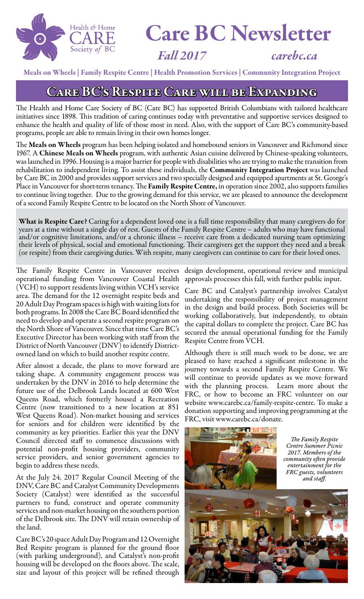

# Care BC Newsletter

*Fall 2017 carebc.ca*

Meals on Wheels | Family Respite Centre | Health Promotion Services | Community Integration Project

#### CARE BC'S RESPITE CARE WILL BE EXPANDING

The Health and Home Care Society of BC (Care BC) has supported British Columbians with tailored healthcare initiatives since 1898. This tradition of caring continues today with preventative and supportive services designed to enhance the health and quality of life of those most in need. Also, with the support of Care BC's community-based programs, people are able to remain living in their own homes longer.

The Meals on Wheels program has been helping isolated and homebound seniors in Vancouver and Richmond since 1967. A Chinese Meals on Wheels program, with authentic Asian cuisine delivered by Chinese-speaking volunteers, was launched in 1996. Housing is a major barrier for people with disabilities who are trying to make the transition from rehabilitation to independent living. To assist these individuals, the Community Integration Project was launched by Care BC in 2000 and provides support services and two specially designed and equipped apartments at St. George's Place in Vancouver for short-term tenancy. The Family Respite Centre, in operation since 2002, also supports families to continue living together. Due to the growing demand for this service, we are pleased to announce the development of a second Family Respite Centre to be located on the North Shore of Vancouver.

What is Respite Care? Caring for a dependent loved one is a full time responsibility that many caregivers do for years at a time without a single day of rest. Guests of the Family Respite Centre – adults who may have functional and/or cognitive limitations, and/or a chronic illness – receive care from a dedicated nursing team optimizing their levels of physical, social and emotional functioning. Their caregivers get the support they need and a break (or respite) from their caregiving duties. With respite, many caregivers can continue to care for their loved ones.

The Family Respite Centre in Vancouver receives operational funding from Vancouver Coastal Health (VCH) to support residents living within VCH's service area. The demand for the 12 overnight respite beds and 20 Adult Day Program spaces is high with waiting lists for both programs. In 2008 the Care BC Board identified the need to develop and operate a second respite program on the North Shore of Vancouver. Since that time Care BC's Executive Director has been working with staff from the District of North Vancouver (DNV) to identify Districtowned land on which to build another respite centre.

After almost a decade, the plans to move forward are taking shape. A community engagement process was undertaken by the DNV in 2016 to help determine the future use of the Delbrook Lands located at 600 West Queens Road, which formerly housed a Recreation Centre (now transitioned to a new location at 851 West Queens Road). Non-market housing and services for seniors and for children were identified by the community as key priorities. Earlier this year the DNV Council directed staff to commence discussions with potential non-profit housing providers, community service providers, and senior government agencies to begin to address these needs.

At the July 24, 2017 Regular Council Meeting of the DNV, Care BC and Catalyst Community Developments Society (Catalyst) were identified as the successful partners to fund, construct and operate community services and non-market housing on the southern portion of the Delbrook site. The DNV will retain ownership of the land.

Care BC's 20 space Adult Day Program and 12 Overnight Bed Respite program is planned for the ground floor (with parking underground), and Catalyst's non-profit housing will be developed on the floors above. The scale, size and layout of this project will be refined through

design development, operational review and municipal approvals processes this fall, with further public input.

Care BC and Catalyst's partnership involves Catalyst undertaking the responsibility of project management in the design and build process. Both Societies will be working collaboratively, but independently, to obtain the capital dollars to complete the project. Care BC has secured the annual operational funding for the Family Respite Centre from VCH.

Although there is still much work to be done, we are pleased to have reached a significant milestone in the journey towards a second Family Respite Centre. We will continue to provide updates as we move forward with the planning process. Learn more about the FRC, or how to become an FRC volunteer on our website www.carebc.ca/family-respite-centre. To make a donation supporting and improving programming at the FRC, visit www.carebc.ca/donate.

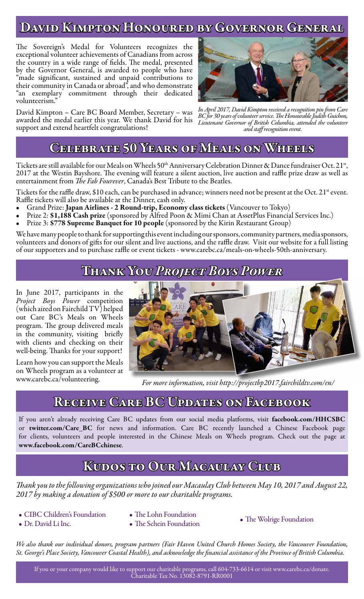#### David Kimpton Honoured by Governor General

The Sovereign's Medal for Volunteers recognizes the exceptional volunteer achievements of Canadians from across the country in a wide range of fields. The medal, presented by the Governor General, is awarded to people who have "made significant, sustained and unpaid contributions to their community in Canada or abroad", and who demonstrate "an exemplary commitment through their dedicated volunteerism."

David Kimpton – Care BC Board Member, Secretary – was awarded the medal earlier this year. We thank David for his support and extend heartfelt congratulations!



*In April 2017, David Kimpton received a recognition pin from Care BC for 30 years of volunteer service. The Honourable Judith Guichon, Lieutenant Governor of British Columbia, attended the volunteer and staff recognition event.*

#### CELEBRATE 50 YEARS OF MEALS ON WHEELS

Tickets are still available for our Meals on Wheels 50<sup>th</sup> Anniversary Celebration Dinner & Dance fundraiser Oct. 21<sup>st</sup>, 2017 at the Westin Bayshore. The evening will feature a silent auction, live auction and raffle prize draw as well as entertainment from *The Fab Fourever*, Canada's Best Tribute to the Beatles.

Tickets for the raffle draw, \$10 each, can be purchased in advance; winners need not be present at the Oct. 21<sup>st</sup> event. Raffle tickets will also be available at the Dinner, cash only.

- Grand Prize: Japan Airlines 2 Round-trip, Economy class tickets (Vancouver to Tokyo)
- Prize 2: \$1,188 Cash prize (sponsored by Alfred Poon & Mimi Chan at AssetPlus Financial Services Inc.)
- Prize 3: \$778 Supreme Banquet for 10 people (sponsored by the Kirin Restaurant Group)

We have many people to thank for supporting this event including our sponsors, community partners, media sponsors, volunteers and donors of gifts for our silent and live auctions, and the raffle draw. Visit our website for a full listing of our supporters and to purchase raffle or event tickets - www.carebc.ca/meals-on-wheels-50th-anniversary.

#### Thank You *Project Boys Power*

In June 2017, participants in the *Project Boys Power* competition (which aired on Fairchild TV) helped out Care BC's Meals on Wheels program. The group delivered meals in the community, visiting briefly with clients and checking on their well-being. Thanks for your support!

Learn how you can support the Meals on Wheels program as a volunteer at www.carebc.ca/volunteering.



*For more information, visit http://projectbp2017.fairchildtv.com/en/*

#### Receive Care BC Updates on Facebook

If you aren't already receiving Care BC updates from our social media platforms, visit facebook.com/HHCSBC or twitter.com/Care\_BC for news and information. Care BC recently launched a Chinese Facebook page for clients, volunteers and people interested in the Chinese Meals on Wheels program. Check out the page at www.facebook.com/CareBCchinese.

#### Kudos to Our Macaulay Club

*Thank you to the following organizations who joined our Macaulay Club between May 10, 2017 and August 22, 2017 by making a donation of \$500 or more to our charitable programs.*

- CIBC Children's Foundation
- The Lohn Foundation
- 
- Dr. David Li Inc.
- The Schein Foundation The Wolrige Foundation
- 

*We also thank our individual donors, program partners (Fair Haven United Church Homes Society, the Vancouver Foundation, St. George's Place Society, Vancouver Coastal Health), and acknowledge the financial assistance of the Province of British Columbia.*

If you or your company would like to support our charitable programs, call 604-733-6614 or visit www.carebc.ca/donate. Charitable Tax No. 13082-8791-RR0001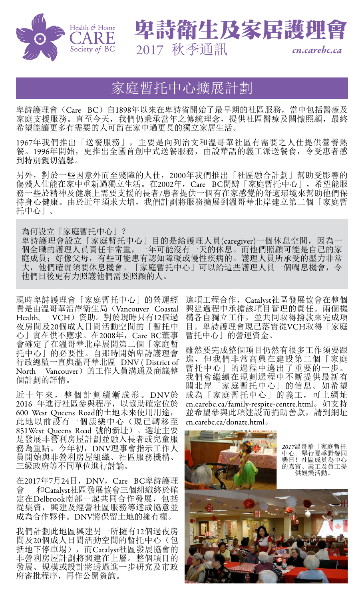



## 家庭暫托中心擴展計劃

卑詩護理會(Care BC)自1898年以來在卑詩省開始了最早期的社區服務,當中包括醫療及 家庭支援服務。直至今天,我們仍秉承當年之傳統理念,提供社區醫療及關懷照顧,最終 希望能讓更多有需要的人可留在家中過更長的獨立家居生活。

1967年我們推出「送餐服務」,主要是向列治文和溫哥華社區有需要之人仕提供營養熱 餐。1996年開始,更推出全國首創中式送餐服務,由說華語的義工派送餐食,令受惠者感 到特別親切溫馨。

另外,對於一些因意外而至殘障的人仕,2000年我們推出「社區融合計劃」幫助受影響的 傷殘人仕能在家中重新過獨立生活。在2002年, Care BC開辦「家庭暫托中心」, 希望能服 務一些於精神及健康上需要支援的長者/患者提供一個有在家感覺的舒適環境來幫助他們保 持身心健康。由於近年須求大增,我們計劃將服務擴展到溫哥華北岸建立第二個「家庭暫 托中心」。

為何設立「家庭暫托中心」?

卑詩護理會設立「家庭暫托中心」目的是給護理人員(caregiver)一個休息空間,因為一 個全職的護理人員責任非常重,一年可能沒有一天的休息。而他們照顧可能是自己的家 庭成員;好像父母,有些可能患有認知障礙或慢性疾病的。護理人員所承受的壓力非常<br>大,他們確實須要休息機會。「家庭暫托中心」可以給這些護理人員一個喘息機會, 令 「家庭暫托中心」可以給這些護理人員一個喘息機會, 令 他們日後更有力照護他們需要照顧的人。

現時卑詩護理會「家庭暫托中心」的營運經 費是由溫哥華沿岸衛生局 (Vancouver Coastal<br>Health. VCH) 資助。對於現時只有12個過 VCH)資助。對於現時只有12個過 夜房間及20個成人日間活動空間的「暫托中 心」實在供不應求。在2008年,Care BC董事 會確定了在溫哥華北岸展開第二個「家庭暫 托中心」的必要性。自那時開始卑詩護理會 行政總監一直與溫哥華北區 DNV ( District of North Vancouver)的工作人員溝通及商議整 個計劃的詳情。

近十年來,整個計劃續漸成形。DNV於 2016 年進行社區參與程序,以協助確定位於 600 West Queens Road的土地未來使用用途, 此地以前設有一個康樂中心(現已轉移至 851West Queens Road 號的新址)。選址主要 是發展非營利房屋計劃並融入長者或兒童服 務為重點。今年初,DNV理事會指示工作人 員開始與非營利房屋組織、社區服務機構、 三級政府等不同單位進行討論。

在2017年7月24日,DNV,Care BC卑詩護理 會 和Catalyst社區發展協會三個組織終於確 定在Delbrook南部一起共同合作發展,包括 從集資,興建及經營社區服務等達成協意並 成為合作夥伴。DNV將保留土地的擁有權。

我們計劃此地區興建另一所擁有12個過夜房 間及20個成人日間活動空間的暫托中心(包 括地下停車場),而Catalyst社區發展協會的 非營利房屋計劃將興建在上層。整個項目的 發展、規模或設計將透過進一步研究及市政 府審批程序,再作公開資詢。

這項工程合作,Catalyst社區發展協會在整個 興建過程中承擔該項目管理的責任。兩個機 構各自獨立工作,並共同取得撥款來完成項 目。卑詩護理會現已落實從VCH取得「家庭 暫托中心」的營運資金。

雖然要完成整個項目仍然有很多工作須要跟 進,但我們非常高興在建設第二個「家庭 暫托中心」的過程中邁出了重要的一步。 我們會繼續在規劃過程中不斷提供最新有 關北岸「家庭暫托中心」的信息。如希望 成為「家庭暫托中心」的義工,可上網址 cn.carebc.ca/family-respite-centre.html。如支持 並希望參與此項建設而捐助善款,請到網址 cn.carebc.ca/donate.html。